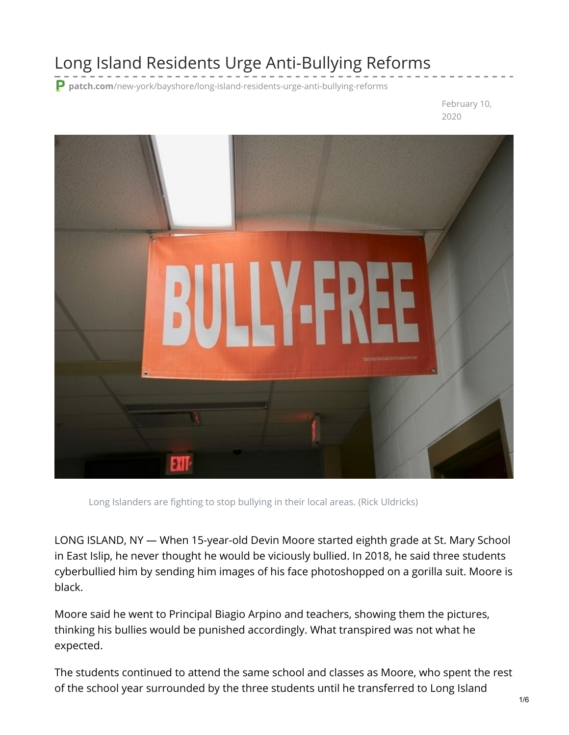## Long Island Residents Urge Anti-Bullying Reforms

**patch.com**[/new-york/bayshore/long-island-residents-urge-anti-bullying-reforms](https://patch.com/new-york/bayshore/long-island-residents-urge-anti-bullying-reforms)

February 10, 2020



Long Islanders are fighting to stop bullying in their local areas. (Rick Uldricks)

LONG ISLAND, NY — When 15-year-old Devin Moore started eighth grade at St. Mary School in East Islip, he never thought he would be viciously bullied. In 2018, he said three students cyberbullied him by sending him images of his face photoshopped on a gorilla suit. Moore is black.

Moore said he went to Principal Biagio Arpino and teachers, showing them the pictures, thinking his bullies would be punished accordingly. What transpired was not what he expected.

The students continued to attend the same school and classes as Moore, who spent the rest of the school year surrounded by the three students until he transferred to Long Island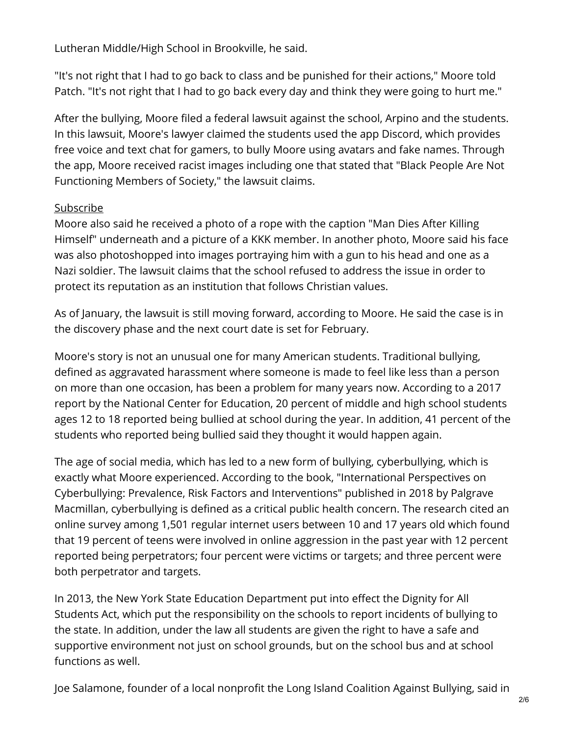Lutheran Middle/High School in Brookville, he said.

"It's not right that I had to go back to class and be punished for their actions," Moore told Patch. "It's not right that I had to go back every day and think they were going to hurt me."

After the bullying, Moore filed a federal lawsuit against the school, Arpino and the students. In this lawsuit, Moore's lawyer claimed the students used the app Discord, which provides free voice and text chat for gamers, to bully Moore using avatars and fake names. Through the app, Moore received racist images including one that stated that "Black People Are Not Functioning Members of Society," the lawsuit claims.

## [Subscribe](https://patch.com/)

Moore also said he received a photo of a rope with the caption "Man Dies After Killing Himself" underneath and a picture of a KKK member. In another photo, Moore said his face was also photoshopped into images portraying him with a gun to his head and one as a Nazi soldier. The lawsuit claims that the school refused to address the issue in order to protect its reputation as an institution that follows Christian values.

As of January, the lawsuit is still moving forward, according to Moore. He said the case is in the discovery phase and the next court date is set for February.

Moore's story is not an unusual one for many American students. Traditional bullying, defined as aggravated harassment where someone is made to feel like less than a person on more than one occasion, has been a problem for many years now. According to a 2017 report by the National Center for Education, 20 percent of middle and high school students ages 12 to 18 reported being bullied at school during the year. In addition, 41 percent of the students who reported being bullied said they thought it would happen again.

The age of social media, which has led to a new form of bullying, cyberbullying, which is exactly what Moore experienced. According to the book, "International Perspectives on Cyberbullying: Prevalence, Risk Factors and Interventions" published in 2018 by Palgrave Macmillan, cyberbullying is defined as a critical public health concern. The research cited an online survey among 1,501 regular internet users between 10 and 17 years old which found that 19 percent of teens were involved in online aggression in the past year with 12 percent reported being perpetrators; four percent were victims or targets; and three percent were both perpetrator and targets.

In 2013, the New York State Education Department put into effect the Dignity for All Students Act, which put the responsibility on the schools to report incidents of bullying to the state. In addition, under the law all students are given the right to have a safe and supportive environment not just on school grounds, but on the school bus and at school functions as well.

Joe Salamone, founder of a local nonprofit the Long Island Coalition Against Bullying, said in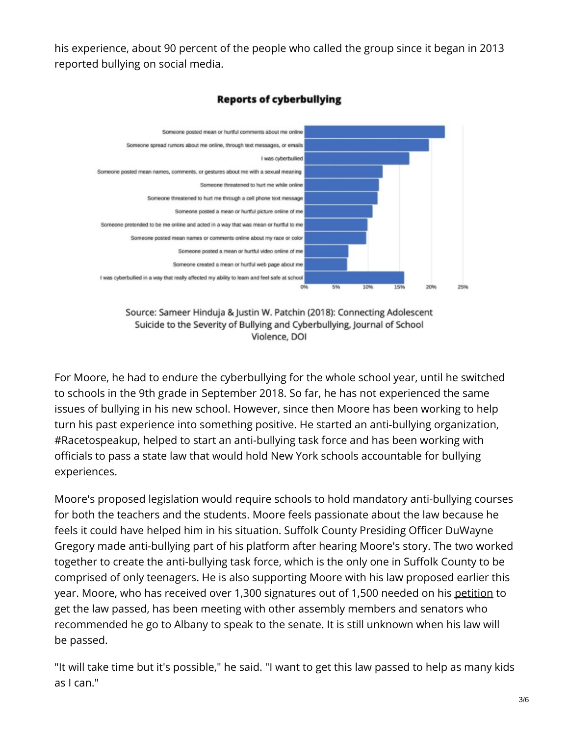his experience, about 90 percent of the people who called the group since it began in 2013 reported bullying on social media.



## **Reports of cyberbullying**



For Moore, he had to endure the cyberbullying for the whole school year, until he switched to schools in the 9th grade in September 2018. So far, he has not experienced the same issues of bullying in his new school. However, since then Moore has been working to help turn his past experience into something positive. He started an anti-bullying organization, #Racetospeakup, helped to start an anti-bullying task force and has been working with officials to pass a state law that would hold New York schools accountable for bullying experiences.

Moore's proposed legislation would require schools to hold mandatory anti-bullying courses for both the teachers and the students. Moore feels passionate about the law because he feels it could have helped him in his situation. Suffolk County Presiding Officer DuWayne Gregory made anti-bullying part of his platform after hearing Moore's story. The two worked together to create the anti-bullying task force, which is the only one in Suffolk County to be comprised of only teenagers. He is also supporting Moore with his law proposed earlier this year. Moore, who has received over 1,300 signatures out of 1,500 needed on his [petition](https://www.change.org/p/ny-state-senate-monica-r-martinez-racetospeakup-let-s-get-this-bullying-law-passed) to get the law passed, has been meeting with other assembly members and senators who recommended he go to Albany to speak to the senate. It is still unknown when his law will be passed.

"It will take time but it's possible," he said. "I want to get this law passed to help as many kids as I can."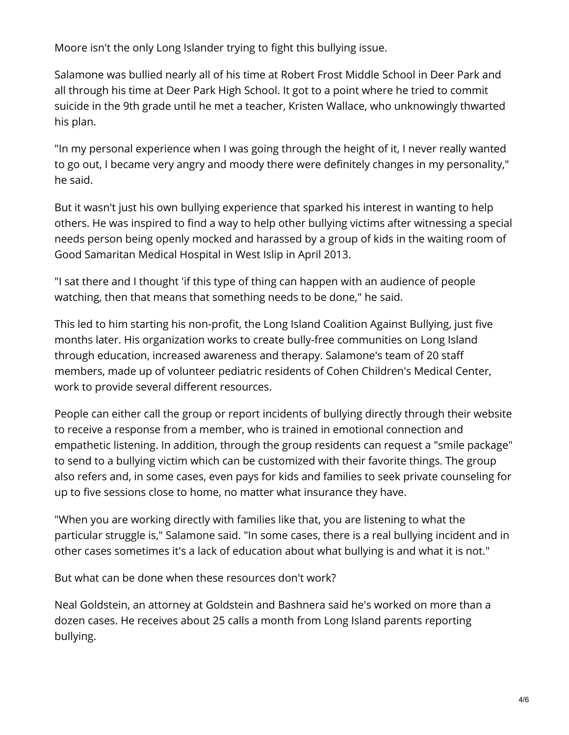Moore isn't the only Long Islander trying to fight this bullying issue.

Salamone was bullied nearly all of his time at Robert Frost Middle School in Deer Park and all through his time at Deer Park High School. It got to a point where he tried to commit suicide in the 9th grade until he met a teacher, Kristen Wallace, who unknowingly thwarted his plan.

"In my personal experience when I was going through the height of it, I never really wanted to go out, I became very angry and moody there were definitely changes in my personality," he said.

But it wasn't just his own bullying experience that sparked his interest in wanting to help others. He was inspired to find a way to help other bullying victims after witnessing a special needs person being openly mocked and harassed by a group of kids in the waiting room of Good Samaritan Medical Hospital in West Islip in April 2013.

"I sat there and I thought 'if this type of thing can happen with an audience of people watching, then that means that something needs to be done," he said.

This led to him starting his non-profit, the Long Island Coalition Against Bullying, just five months later. His organization works to create bully-free communities on Long Island through education, increased awareness and therapy. Salamone's team of 20 staff members, made up of volunteer pediatric residents of Cohen Children's Medical Center, work to provide several different resources.

People can either call the group or report incidents of bullying directly through their website to receive a response from a member, who is trained in emotional connection and empathetic listening. In addition, through the group residents can request a "smile package" to send to a bullying victim which can be customized with their favorite things. The group also refers and, in some cases, even pays for kids and families to seek private counseling for up to five sessions close to home, no matter what insurance they have.

"When you are working directly with families like that, you are listening to what the particular struggle is," Salamone said. "In some cases, there is a real bullying incident and in other cases sometimes it's a lack of education about what bullying is and what it is not."

But what can be done when these resources don't work?

Neal Goldstein, an attorney at Goldstein and Bashnera said he's worked on more than a dozen cases. He receives about 25 calls a month from Long Island parents reporting bullying.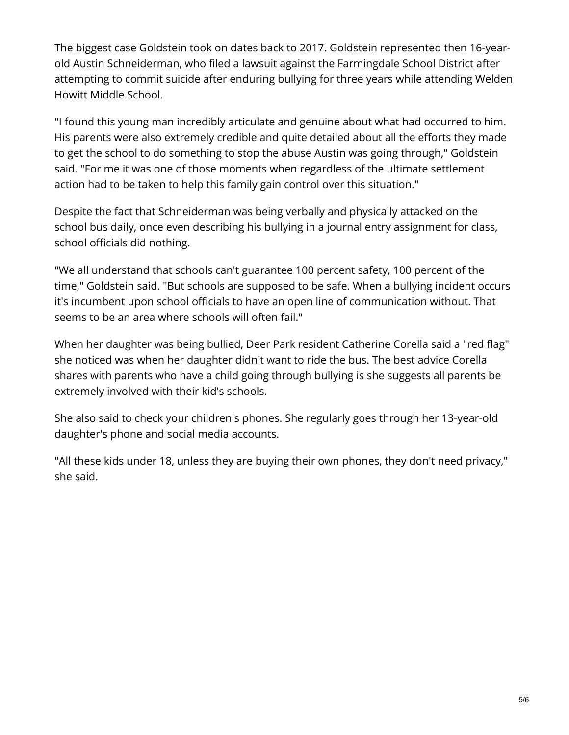The biggest case Goldstein took on dates back to 2017. Goldstein represented then 16-yearold Austin Schneiderman, who filed a lawsuit against the Farmingdale School District after attempting to commit suicide after enduring bullying for three years while attending Welden Howitt Middle School.

"I found this young man incredibly articulate and genuine about what had occurred to him. His parents were also extremely credible and quite detailed about all the efforts they made to get the school to do something to stop the abuse Austin was going through," Goldstein said. "For me it was one of those moments when regardless of the ultimate settlement action had to be taken to help this family gain control over this situation."

Despite the fact that Schneiderman was being verbally and physically attacked on the school bus daily, once even describing his bullying in a journal entry assignment for class, school officials did nothing.

"We all understand that schools can't guarantee 100 percent safety, 100 percent of the time," Goldstein said. "But schools are supposed to be safe. When a bullying incident occurs it's incumbent upon school officials to have an open line of communication without. That seems to be an area where schools will often fail."

When her daughter was being bullied, Deer Park resident Catherine Corella said a "red flag" she noticed was when her daughter didn't want to ride the bus. The best advice Corella shares with parents who have a child going through bullying is she suggests all parents be extremely involved with their kid's schools.

She also said to check your children's phones. She regularly goes through her 13-year-old daughter's phone and social media accounts.

"All these kids under 18, unless they are buying their own phones, they don't need privacy," she said.